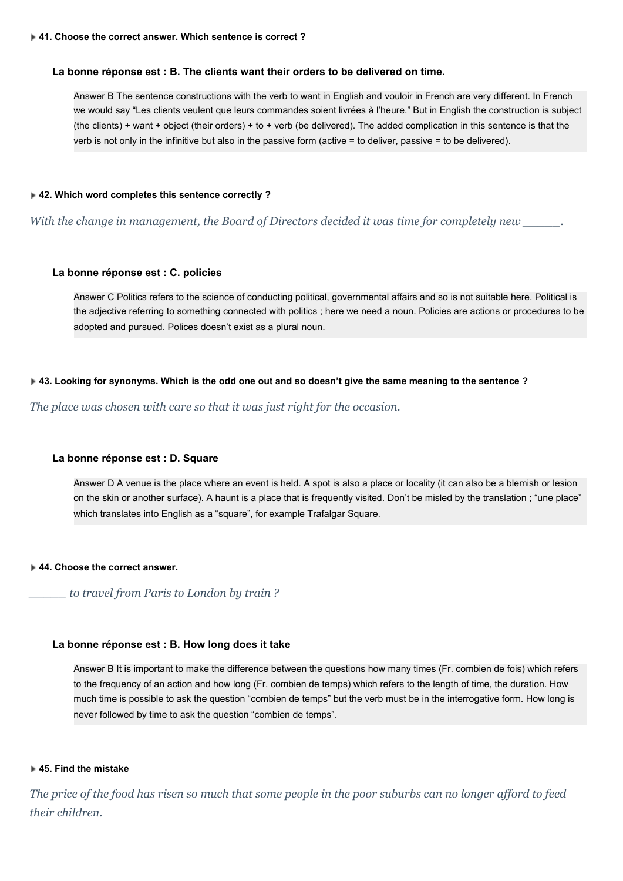### **La bonne réponse est : B. The clients want their orders to be delivered on time.**

Answer B The sentence constructions with the verb to want in English and vouloir in French are very different. In French we would say "Les clients veulent que leurs commandes soient livrées à l'heure." But in English the construction is subject (the clients) + want + object (their orders) + to + verb (be delivered). The added complication in this sentence is that the verb is not only in the infinitive but also in the passive form (active = to deliver, passive = to be delivered).

### **42. Which word completes this sentence correctly ?**

*With the change in management, the Board of Directors decided it was time for completely new \_\_\_\_\_.*

### **La bonne réponse est : C. policies**

Answer C Politics refers to the science of conducting political, governmental affairs and so is not suitable here. Political is the adjective referring to something connected with politics ; here we need a noun. Policies are actions or procedures to be adopted and pursued. Polices doesn't exist as a plural noun.

### **43. Looking for synonyms. Which is the odd one out and so doesn't give the same meaning to the sentence ?**

*The place was chosen with care so that it was just right for the occasion.*

### **La bonne réponse est : D. Square**

Answer D A venue is the place where an event is held. A spot is also a place or locality (it can also be a blemish or lesion on the skin or another surface). A haunt is a place that is frequently visited. Don't be misled by the translation ; "une place" which translates into English as a "square", for example Trafalgar Square.

#### **44. Choose the correct answer.**

*\_\_\_\_\_ to travel from Paris to London by train ?*

## **La bonne réponse est : B. How long does it take**

Answer B It is important to make the difference between the questions how many times (Fr. combien de fois) which refers to the frequency of an action and how long (Fr. combien de temps) which refers to the length of time, the duration. How much time is possible to ask the question "combien de temps" but the verb must be in the interrogative form. How long is never followed by time to ask the question "combien de temps".

#### **45. Find the mistake**

The price of the food has risen so much that some people in the poor suburbs can no longer afford to feed *their children.*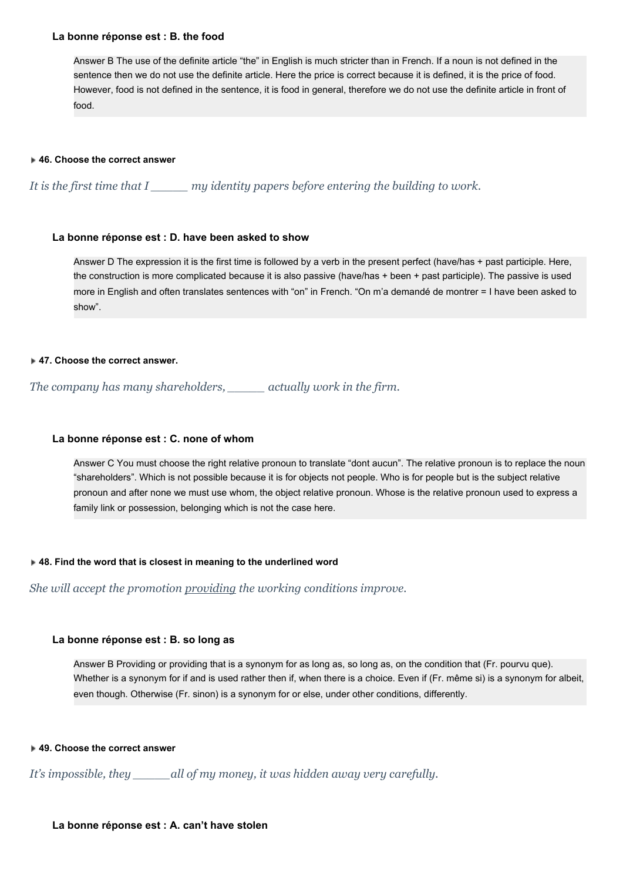### **La bonne réponse est : B. the food**

Answer B The use of the definite article "the" in English is much stricter than in French. If a noun is not defined in the sentence then we do not use the definite article. Here the price is correct because it is defined, it is the price of food. However, food is not defined in the sentence, it is food in general, therefore we do not use the definite article in front of food.

## **46. Choose the correct answer**

*It is the first time that I \_\_\_\_\_ my identity papers before entering the building to work.*

# **La bonne réponse est : D. have been asked to show**

Answer D The expression it is the first time is followed by a verb in the present perfect (have/has + past participle. Here, the construction is more complicated because it is also passive (have/has + been + past participle). The passive is used more in English and often translates sentences with "on" in French. "On m'a demandé de montrer = I have been asked to show".

## **47. Choose the correct answer.**

*The company has many shareholders, \_\_\_\_\_ actually work in the firm.*

# **La bonne réponse est : C. none of whom**

Answer C You must choose the right relative pronoun to translate "dont aucun". The relative pronoun is to replace the noun "shareholders". Which is not possible because it is for objects not people. Who is for people but is the subject relative pronoun and after none we must use whom, the object relative pronoun. Whose is the relative pronoun used to express a family link or possession, belonging which is not the case here.

# **48. Find the word that is closest in meaning to the underlined word**

*She will accept the promotion providing the working conditions improve.*

# **La bonne réponse est : B. so long as**

Answer B Providing or providing that is a synonym for as long as, so long as, on the condition that (Fr. pourvu que). Whether is a synonym for if and is used rather then if, when there is a choice. Even if (Fr. même si) is a synonym for albeit, even though. Otherwise (Fr. sinon) is a synonym for or else, under other conditions, differently.

# **49. Choose the correct answer**

*It's impossible, they \_\_\_\_\_all of my money, it was hidden away very carefully.*